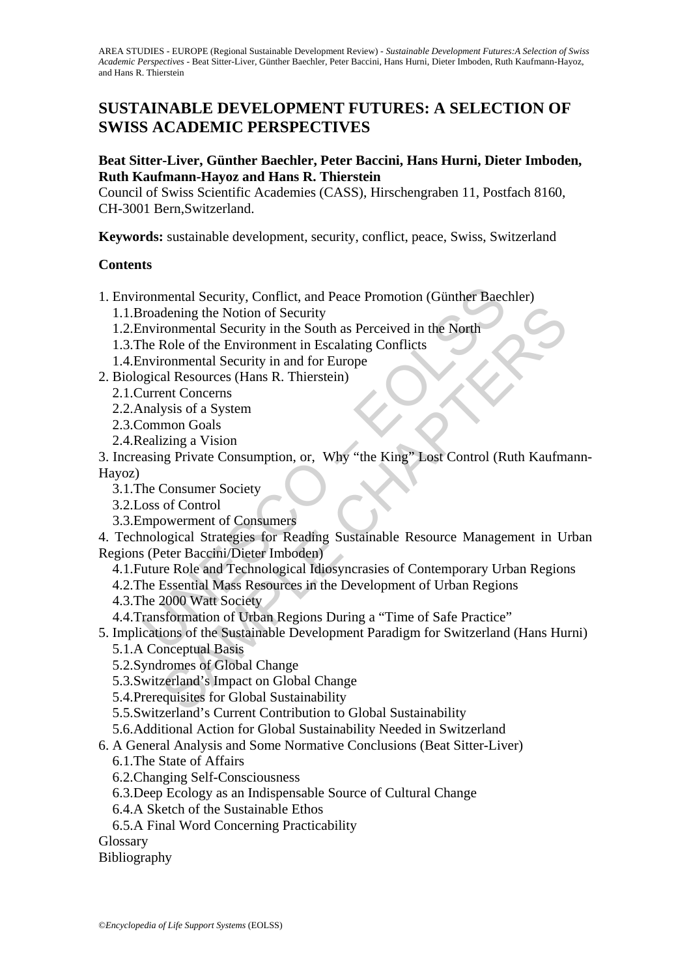# **SUSTAINABLE DEVELOPMENT FUTURES: A SELECTION OF SWISS ACADEMIC PERSPECTIVES**

### **Beat Sitter-Liver, Günther Baechler, Peter Baccini, Hans Hurni, Dieter Imboden, Ruth Kaufmann-Hayoz and Hans R. Thierstein**

Council of Swiss Scientific Academies (CASS), Hirschengraben 11, Postfach 8160, CH-3001 Bern,Switzerland.

**Keywords:** sustainable development, security, conflict, peace, Swiss, Switzerland

# **Contents**

- 1. Environmental Security, Conflict, and Peace Promotion (Günther Baechler)
	- 1.1.Broadening the Notion of Security
	- 1.2.Environmental Security in the South as Perceived in the North
	- 1.3.The Role of the Environment in Escalating Conflicts
	- 1.4.Environmental Security in and for Europe
- 2. Biological Resources (Hans R. Thierstein)
	- 2.1.Current Concerns
	- 2.2.Analysis of a System
	- 2.3.Common Goals
	- 2.4.Realizing a Vision

From Schematics (Conflict, and Peace Promotion (Günther Baccherolar)<br>
reproducing the Notion of Security<br>
nvironmental Security in the South as Perceived in the North<br>
he Role of the Environment in Escalating Conflicts<br>
nv dening the Notion of Security<br>
ronmental Security in the South as Perceived in the North<br>
Role of the Environment in Escalating Conflicts<br>
Role of the Environment in Escalating Conflicts<br>
ronmental Security in and for Euro 3. Increasing Private Consumption, or, Why "the King" Lost Control (Ruth Kaufmann-Hayoz)

3.1.The Consumer Society

3.2.Loss of Control

3.3.Empowerment of Consumers

4. Technological Strategies for Reading Sustainable Resource Management in Urban Regions (Peter Baccini/Dieter Imboden)

- 4.1.Future Role and Technological Idiosyncrasies of Contemporary Urban Regions
- 4.2.The Essential Mass Resources in the Development of Urban Regions
- 4.3.The 2000 Watt Society
- 4.4.Transformation of Urban Regions During a "Time of Safe Practice"
- 5. Implications of the Sustainable Development Paradigm for Switzerland (Hans Hurni)
	- 5.1.A Conceptual Basis
	- 5.2.Syndromes of Global Change
	- 5.3.Switzerland's Impact on Global Change
	- 5.4.Prerequisites for Global Sustainability
	- 5.5.Switzerland's Current Contribution to Global Sustainability
	- 5.6.Additional Action for Global Sustainability Needed in Switzerland
- 6. A General Analysis and Some Normative Conclusions (Beat Sitter-Liver)
	- 6.1.The State of Affairs
	- 6.2.Changing Self-Consciousness
	- 6.3.Deep Ecology as an Indispensable Source of Cultural Change
	- 6.4.A Sketch of the Sustainable Ethos
	- 6.5.A Final Word Concerning Practicability

**Glossary** 

Bibliography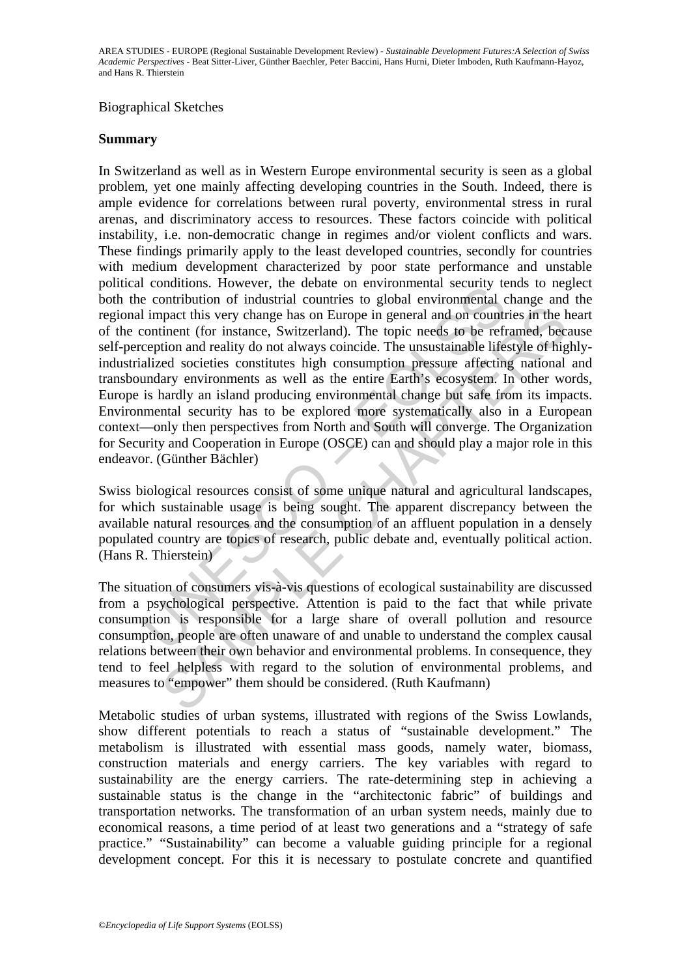#### Biographical Sketches

#### **Summary**

Continuos. Towever, the ceokes on enrivonmental security the contribution of industrial countries to global environmental continent (for instance, Switzerland). The topic needs to be refreception and reality do not always mpact this very change has on Europe in general and on countries in the tinent (for instance, Switzerland). The topic needs to be reframed, because the tinent (for instance, Switzerland). The topic needs to be reframed, be In Switzerland as well as in Western Europe environmental security is seen as a global problem, yet one mainly affecting developing countries in the South. Indeed, there is ample evidence for correlations between rural poverty, environmental stress in rural arenas, and discriminatory access to resources. These factors coincide with political instability, i.e. non-democratic change in regimes and/or violent conflicts and wars. These findings primarily apply to the least developed countries, secondly for countries with medium development characterized by poor state performance and unstable political conditions. However, the debate on environmental security tends to neglect both the contribution of industrial countries to global environmental change and the regional impact this very change has on Europe in general and on countries in the heart of the continent (for instance, Switzerland). The topic needs to be reframed, because self-perception and reality do not always coincide. The unsustainable lifestyle of highlyindustrialized societies constitutes high consumption pressure affecting national and transboundary environments as well as the entire Earth's ecosystem. In other words, Europe is hardly an island producing environmental change but safe from its impacts. Environmental security has to be explored more systematically also in a European context—only then perspectives from North and South will converge. The Organization for Security and Cooperation in Europe (OSCE) can and should play a major role in this endeavor. (Günther Bächler)

Swiss biological resources consist of some unique natural and agricultural landscapes, for which sustainable usage is being sought. The apparent discrepancy between the available natural resources and the consumption of an affluent population in a densely populated country are topics of research, public debate and, eventually political action. (Hans R. Thierstein)

The situation of consumers vis-à-vis questions of ecological sustainability are discussed from a psychological perspective. Attention is paid to the fact that while private consumption is responsible for a large share of overall pollution and resource consumption, people are often unaware of and unable to understand the complex causal relations between their own behavior and environmental problems. In consequence, they tend to feel helpless with regard to the solution of environmental problems, and measures to "empower" them should be considered. (Ruth Kaufmann)

Metabolic studies of urban systems, illustrated with regions of the Swiss Lowlands, show different potentials to reach a status of "sustainable development." The metabolism is illustrated with essential mass goods, namely water, biomass, construction materials and energy carriers. The key variables with regard to sustainability are the energy carriers. The rate-determining step in achieving a sustainable status is the change in the "architectonic fabric" of buildings and transportation networks. The transformation of an urban system needs, mainly due to economical reasons, a time period of at least two generations and a "strategy of safe practice." "Sustainability" can become a valuable guiding principle for a regional development concept. For this it is necessary to postulate concrete and quantified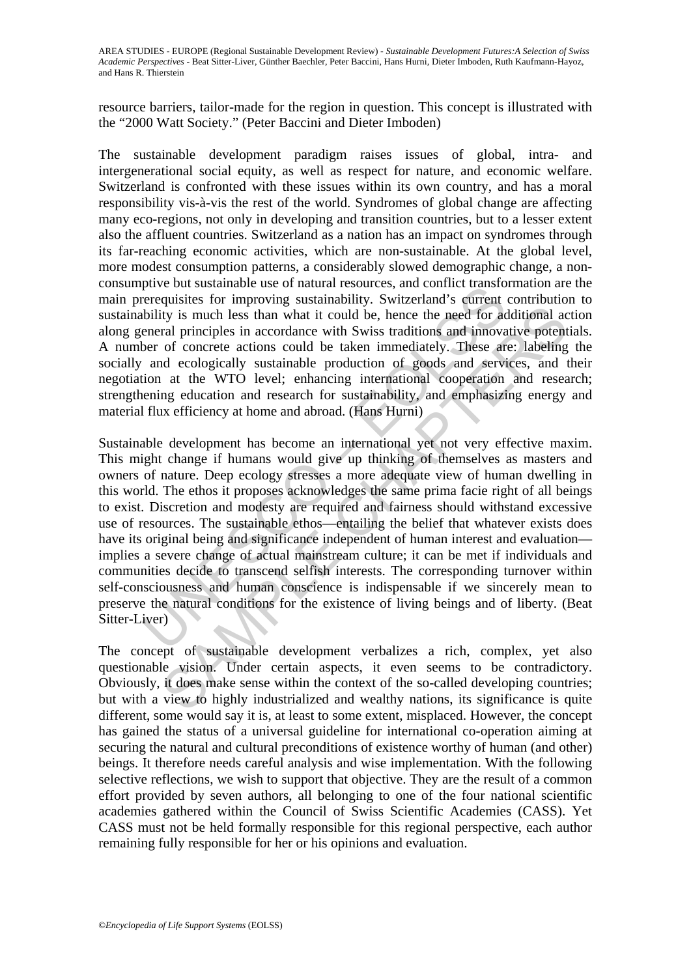resource barriers, tailor-made for the region in question. This concept is illustrated with the "2000 Watt Society." (Peter Baccini and Dieter Imboden)

The sustainable development paradigm raises issues of global, intra- and intergenerational social equity, as well as respect for nature, and economic welfare. Switzerland is confronted with these issues within its own country, and has a moral responsibility vis-à-vis the rest of the world. Syndromes of global change are affecting many eco-regions, not only in developing and transition countries, but to a lesser extent also the affluent countries. Switzerland as a nation has an impact on syndromes through its far-reaching economic activities, which are non-sustainable. At the global level, more modest consumption patterns, a considerably slowed demographic change, a nonconsumptive but sustainable use of natural resources, and conflict transformation are the main prerequisites for improving sustainability. Switzerland's current contribution to sustainability is much less than what it could be, hence the need for additional action along general principles in accordance with Swiss traditions and innovative potentials. A number of concrete actions could be taken immediately. These are: labeling the socially and ecologically sustainable production of goods and services, and their negotiation at the WTO level; enhancing international cooperation and research; strengthening education and research for sustainability, and emphasizing energy and material flux efficiency at home and abroad. (Hans Hurni)

plue to ustainable use of natural resolutes, and connect uaristom<br>erequalists for improving sustainability. Switzerland's current<br>bility is much less than what it could be, hence the need for accordance<br>with Swiss traditio ity is much less than what it could be, hence the need for additional actal principles in accordance with Swiss traditions and innovative potent of concrete actions could be taken immediately. These are: labeling of concre Sustainable development has become an international yet not very effective maxim. This might change if humans would give up thinking of themselves as masters and owners of nature. Deep ecology stresses a more adequate view of human dwelling in this world. The ethos it proposes acknowledges the same prima facie right of all beings to exist. Discretion and modesty are required and fairness should withstand excessive use of resources. The sustainable ethos—entailing the belief that whatever exists does have its original being and significance independent of human interest and evaluation implies a severe change of actual mainstream culture; it can be met if individuals and communities decide to transcend selfish interests. The corresponding turnover within self-consciousness and human conscience is indispensable if we sincerely mean to preserve the natural conditions for the existence of living beings and of liberty. (Beat Sitter-Liver)

The concept of sustainable development verbalizes a rich, complex, yet also questionable vision. Under certain aspects, it even seems to be contradictory. Obviously, it does make sense within the context of the so-called developing countries; but with a view to highly industrialized and wealthy nations, its significance is quite different, some would say it is, at least to some extent, misplaced. However, the concept has gained the status of a universal guideline for international co-operation aiming at securing the natural and cultural preconditions of existence worthy of human (and other) beings. It therefore needs careful analysis and wise implementation. With the following selective reflections, we wish to support that objective. They are the result of a common effort provided by seven authors, all belonging to one of the four national scientific academies gathered within the Council of Swiss Scientific Academies (CASS). Yet CASS must not be held formally responsible for this regional perspective, each author remaining fully responsible for her or his opinions and evaluation.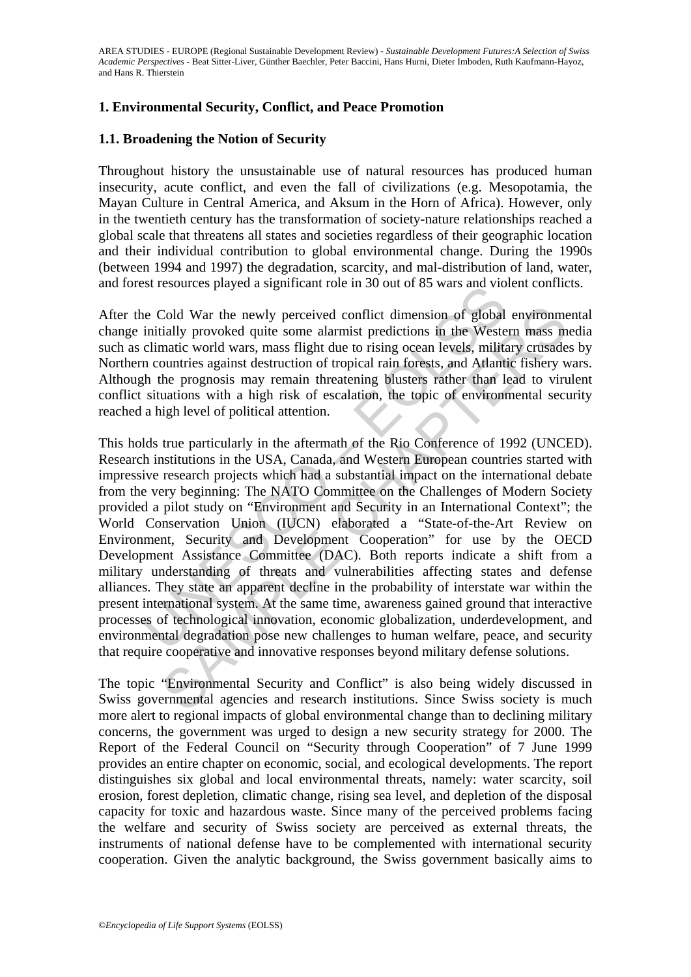# **1. Environmental Security, Conflict, and Peace Promotion**

#### **1.1. Broadening the Notion of Security**

Throughout history the unsustainable use of natural resources has produced human insecurity, acute conflict, and even the fall of civilizations (e.g. Mesopotamia, the Mayan Culture in Central America, and Aksum in the Horn of Africa). However, only in the twentieth century has the transformation of society-nature relationships reached a global scale that threatens all states and societies regardless of their geographic location and their individual contribution to global environmental change. During the 1990s (between 1994 and 1997) the degradation, scarcity, and mal-distribution of land, water, and forest resources played a significant role in 30 out of 85 wars and violent conflicts.

After the Cold War the newly perceived conflict dimension of global environmental change initially provoked quite some alarmist predictions in the Western mass media such as climatic world wars, mass flight due to rising ocean levels, military crusades by Northern countries against destruction of tropical rain forests, and Atlantic fishery wars. Although the prognosis may remain threatening blusters rather than lead to virulent conflict situations with a high risk of escalation, the topic of environmental security reached a high level of political attention.

ist resources played a significant fole in 50 out of 85 was and vio<br>
e Cold War the newly perceived conflict dimension of global<br>
initially provoked quite some alarmist predictions in the Weste<br>
climatic world wars, mass f Cold War the newly perceived conflict dimension of global environmentally provoked quite some alarmist predictions in the Western mass motival wars, mass flight due to rising ocean levels, military erassed wonduities again This holds true particularly in the aftermath of the Rio Conference of 1992 (UNCED). Research institutions in the USA, Canada, and Western European countries started with impressive research projects which had a substantial impact on the international debate from the very beginning: The NATO Committee on the Challenges of Modern Society provided a pilot study on "Environment and Security in an International Context"; the World Conservation Union (IUCN) elaborated a "State-of-the-Art Review on Environment, Security and Development Cooperation" for use by the OECD Development Assistance Committee (DAC). Both reports indicate a shift from a military understanding of threats and vulnerabilities affecting states and defense alliances. They state an apparent decline in the probability of interstate war within the present international system. At the same time, awareness gained ground that interactive processes of technological innovation, economic globalization, underdevelopment, and environmental degradation pose new challenges to human welfare, peace, and security that require cooperative and innovative responses beyond military defense solutions.

The topic "Environmental Security and Conflict" is also being widely discussed in Swiss governmental agencies and research institutions. Since Swiss society is much more alert to regional impacts of global environmental change than to declining military concerns, the government was urged to design a new security strategy for 2000. The Report of the Federal Council on "Security through Cooperation" of 7 June 1999 provides an entire chapter on economic, social, and ecological developments. The report distinguishes six global and local environmental threats, namely: water scarcity, soil erosion, forest depletion, climatic change, rising sea level, and depletion of the disposal capacity for toxic and hazardous waste. Since many of the perceived problems facing the welfare and security of Swiss society are perceived as external threats, the instruments of national defense have to be complemented with international security cooperation. Given the analytic background, the Swiss government basically aims to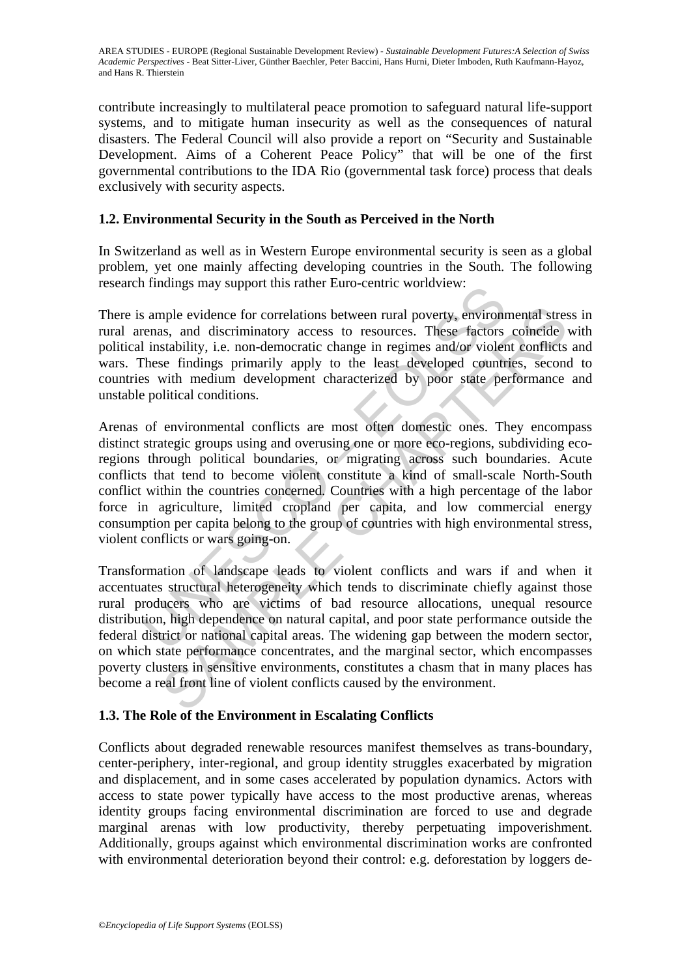contribute increasingly to multilateral peace promotion to safeguard natural life-support systems, and to mitigate human insecurity as well as the consequences of natural disasters. The Federal Council will also provide a report on "Security and Sustainable Development. Aims of a Coherent Peace Policy" that will be one of the first governmental contributions to the IDA Rio (governmental task force) process that deals exclusively with security aspects.

# **1.2. Environmental Security in the South as Perceived in the North**

In Switzerland as well as in Western Europe environmental security is seen as a global problem, yet one mainly affecting developing countries in the South. The following research findings may support this rather Euro-centric worldview:

There is ample evidence for correlations between rural poverty, environmental stress in rural arenas, and discriminatory access to resources. These factors coincide with political instability, i.e. non-democratic change in regimes and/or violent conflicts and wars. These findings primarily apply to the least developed countries, second to countries with medium development characterized by poor state performance and unstable political conditions.

Indians and support unstate Euro-centric worldwew.<br>
Sample evidence for correlations between rural poverty, environmenas, and discriminatory access to resources. These factors<br>
Instability, i.e. non-democratic change in re mple evidence for correlations between rural poverty, environmental stress, and discriminatory access to resources. These factors coincide stability, i.e. non-denocratic change in regimes and/or violent conflicts seconds t Arenas of environmental conflicts are most often domestic ones. They encompass distinct strategic groups using and overusing one or more eco-regions, subdividing ecoregions through political boundaries, or migrating across such boundaries. Acute conflicts that tend to become violent constitute a kind of small-scale North-South conflict within the countries concerned. Countries with a high percentage of the labor force in agriculture, limited cropland per capita, and low commercial energy consumption per capita belong to the group of countries with high environmental stress, violent conflicts or wars going-on.

Transformation of landscape leads to violent conflicts and wars if and when it accentuates structural heterogeneity which tends to discriminate chiefly against those rural producers who are victims of bad resource allocations, unequal resource distribution, high dependence on natural capital, and poor state performance outside the federal district or national capital areas. The widening gap between the modern sector, on which state performance concentrates, and the marginal sector, which encompasses poverty clusters in sensitive environments, constitutes a chasm that in many places has become a real front line of violent conflicts caused by the environment.

# **1.3. The Role of the Environment in Escalating Conflicts**

Conflicts about degraded renewable resources manifest themselves as trans-boundary, center-periphery, inter-regional, and group identity struggles exacerbated by migration and displacement, and in some cases accelerated by population dynamics. Actors with access to state power typically have access to the most productive arenas, whereas identity groups facing environmental discrimination are forced to use and degrade marginal arenas with low productivity, thereby perpetuating impoverishment. Additionally, groups against which environmental discrimination works are confronted with environmental deterioration beyond their control: e.g. deforestation by loggers de-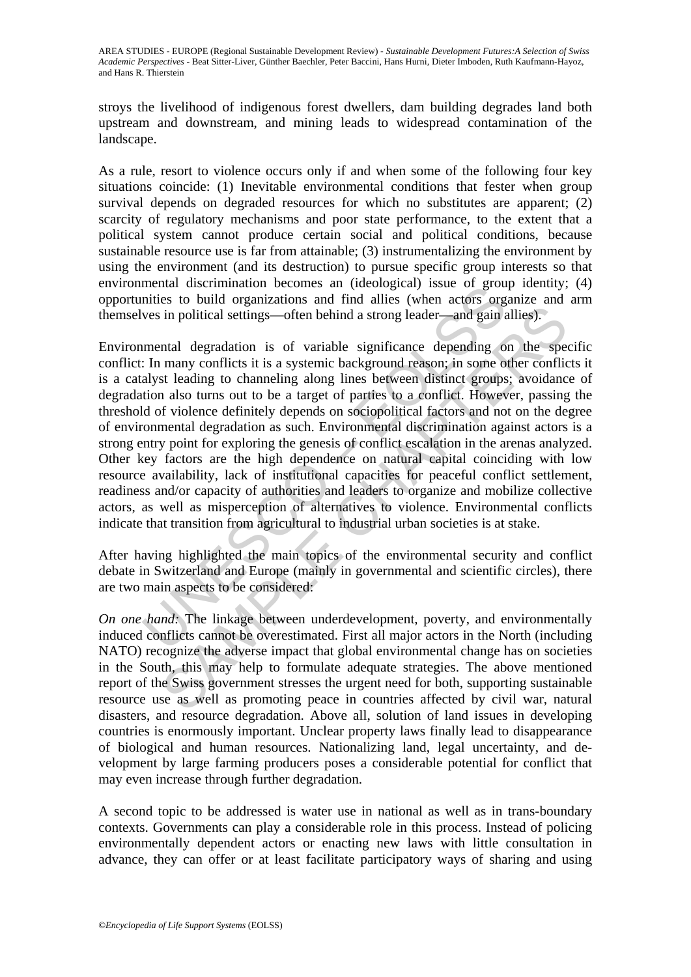stroys the livelihood of indigenous forest dwellers, dam building degrades land both upstream and downstream, and mining leads to widespread contamination of the landscape.

As a rule, resort to violence occurs only if and when some of the following four key situations coincide: (1) Inevitable environmental conditions that fester when group survival depends on degraded resources for which no substitutes are apparent; (2) scarcity of regulatory mechanisms and poor state performance, to the extent that a political system cannot produce certain social and political conditions, because sustainable resource use is far from attainable; (3) instrumentalizing the environment by using the environment (and its destruction) to pursue specific group interests so that environmental discrimination becomes an (ideological) issue of group identity; (4) opportunities to build organizations and find allies (when actors organize and arm themselves in political settings—often behind a strong leader—and gain allies).

mentar userummator or<br>consection the consection and the consection in the sto build organizations and find allies (when actors orgives in political settings—often behind a strong leader—and gain a mental degradation is of in political settings—often behind a strong leader—and gain allies).<br>
In political settings—often behind a strong leader—and gain allies).<br>
Intal degradation is of variable significance depending on the spear many conflic Environmental degradation is of variable significance depending on the specific conflict: In many conflicts it is a systemic background reason; in some other conflicts it is a catalyst leading to channeling along lines between distinct groups; avoidance of degradation also turns out to be a target of parties to a conflict. However, passing the threshold of violence definitely depends on sociopolitical factors and not on the degree of environmental degradation as such. Environmental discrimination against actors is a strong entry point for exploring the genesis of conflict escalation in the arenas analyzed. Other key factors are the high dependence on natural capital coinciding with low resource availability, lack of institutional capacities for peaceful conflict settlement, readiness and/or capacity of authorities and leaders to organize and mobilize collective actors, as well as misperception of alternatives to violence. Environmental conflicts indicate that transition from agricultural to industrial urban societies is at stake.

After having highlighted the main topics of the environmental security and conflict debate in Switzerland and Europe (mainly in governmental and scientific circles), there are two main aspects to be considered:

*On one hand:* The linkage between underdevelopment, poverty, and environmentally induced conflicts cannot be overestimated. First all major actors in the North (including NATO) recognize the adverse impact that global environmental change has on societies in the South, this may help to formulate adequate strategies. The above mentioned report of the Swiss government stresses the urgent need for both, supporting sustainable resource use as well as promoting peace in countries affected by civil war, natural disasters, and resource degradation. Above all, solution of land issues in developing countries is enormously important. Unclear property laws finally lead to disappearance of biological and human resources. Nationalizing land, legal uncertainty, and development by large farming producers poses a considerable potential for conflict that may even increase through further degradation.

A second topic to be addressed is water use in national as well as in trans-boundary contexts. Governments can play a considerable role in this process. Instead of policing environmentally dependent actors or enacting new laws with little consultation in advance, they can offer or at least facilitate participatory ways of sharing and using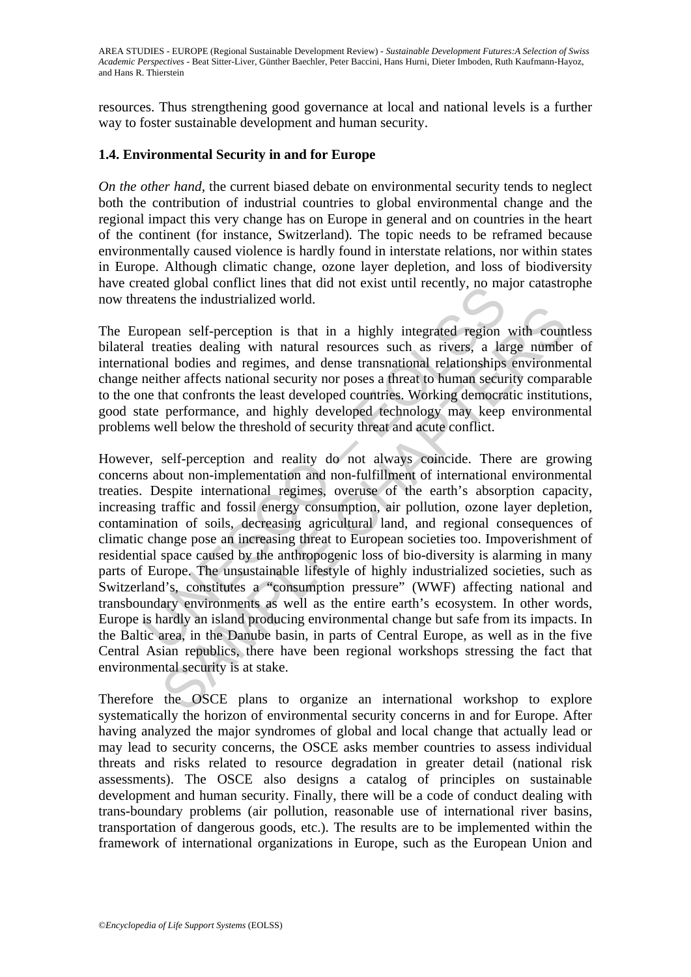resources. Thus strengthening good governance at local and national levels is a further way to foster sustainable development and human security.

#### **1.4. Environmental Security in and for Europe**

*On the other hand*, the current biased debate on environmental security tends to neglect both the contribution of industrial countries to global environmental change and the regional impact this very change has on Europe in general and on countries in the heart of the continent (for instance, Switzerland). The topic needs to be reframed because environmentally caused violence is hardly found in interstate relations, nor within states in Europe. Although climatic change, ozone layer depletion, and loss of biodiversity have created global conflict lines that did not exist until recently, no major catastrophe now threatens the industrialized world.

The European self-perception is that in a highly integrated region with countless bilateral treaties dealing with natural resources such as rivers, a large number of international bodies and regimes, and dense transnational relationships environmental change neither affects national security nor poses a threat to human security comparable to the one that confronts the least developed countries. Working democratic institutions, good state performance, and highly developed technology may keep environmental problems well below the threshold of security threat and acute conflict.

eated global collinity lines that during text than recently, no ma<br>eatens the industrialized world.<br>
Iropean self-perception is that in a highly integrated region<br>
I treaties dealing with natural resources such as rivers, International experiments and in a highly integrated region with counseal<br>and soling with natural resources such as rivers, a large numbe<br>all bodies and regimes, and dense transmational relationships environme<br>ther affects However, self-perception and reality do not always coincide. There are growing concerns about non-implementation and non-fulfillment of international environmental treaties. Despite international regimes, overuse of the earth's absorption capacity, increasing traffic and fossil energy consumption, air pollution, ozone layer depletion, contamination of soils, decreasing agricultural land, and regional consequences of climatic change pose an increasing threat to European societies too. Impoverishment of residential space caused by the anthropogenic loss of bio-diversity is alarming in many parts of Europe. The unsustainable lifestyle of highly industrialized societies, such as Switzerland's, constitutes a "consumption pressure" (WWF) affecting national and transboundary environments as well as the entire earth's ecosystem. In other words, Europe is hardly an island producing environmental change but safe from its impacts. In the Baltic area, in the Danube basin, in parts of Central Europe, as well as in the five Central Asian republics, there have been regional workshops stressing the fact that environmental security is at stake.

Therefore the OSCE plans to organize an international workshop to explore systematically the horizon of environmental security concerns in and for Europe. After having analyzed the major syndromes of global and local change that actually lead or may lead to security concerns, the OSCE asks member countries to assess individual threats and risks related to resource degradation in greater detail (national risk assessments). The OSCE also designs a catalog of principles on sustainable development and human security. Finally, there will be a code of conduct dealing with trans-boundary problems (air pollution, reasonable use of international river basins, transportation of dangerous goods, etc.). The results are to be implemented within the framework of international organizations in Europe, such as the European Union and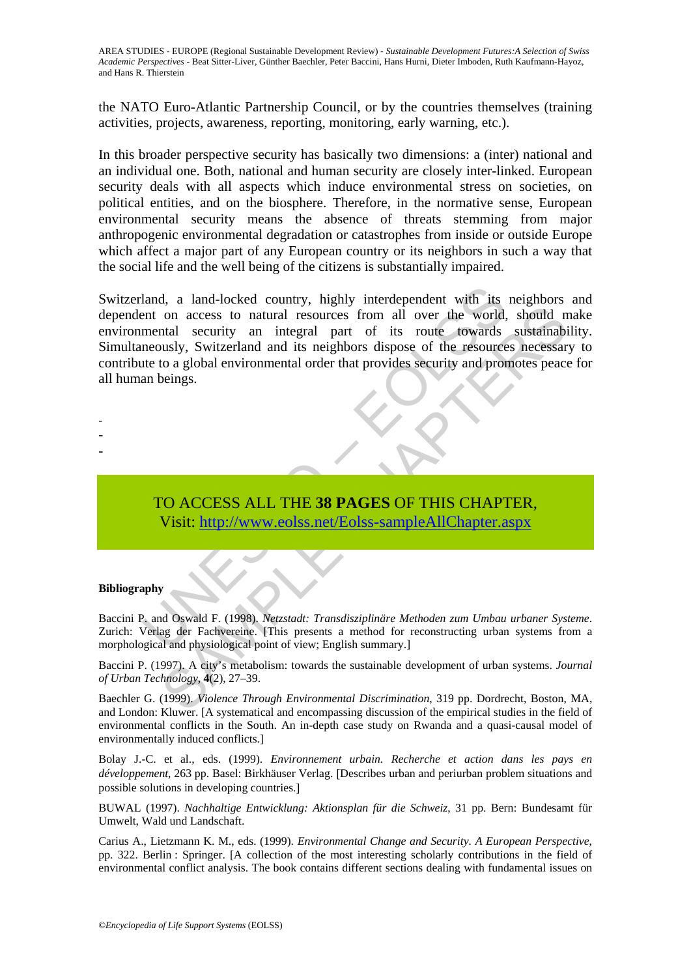the NATO Euro-Atlantic Partnership Council, or by the countries themselves (training activities, projects, awareness, reporting, monitoring, early warning, etc.).

In this broader perspective security has basically two dimensions: a (inter) national and an individual one. Both, national and human security are closely inter-linked. European security deals with all aspects which induce environmental stress on societies, on political entities, and on the biosphere. Therefore, in the normative sense, European environmental security means the absence of threats stemming from major anthropogenic environmental degradation or catastrophes from inside or outside Europe which affect a major part of any European country or its neighbors in such a way that the social life and the well being of the citizens is substantially impaired.

land, a land-locked country, highly interdependent with its<br>ent on access to natural resources from all over the world,<br>mental security an integral part of its route towards<br>neously, Switzerland and its neighbors dispose o on access to natural resources from all over the world, should not access to natural resources from all over the world, should not all security an integral part of its route towards sustainability, Switzerland and its neig Switzerland, a land-locked country, highly interdependent with its neighbors and dependent on access to natural resources from all over the world, should make environmental security an integral part of its route towards sustainability. Simultaneously, Switzerland and its neighbors dispose of the resources necessary to contribute to a global environmental order that provides security and promotes peace for all human beings.

# TO ACCESS ALL THE **38 PAGES** OF THIS CHAPTER, Visit: http://www.eolss.net/Eolss-sampleAllChapter.aspx

#### **Bibliography**

- - -

Baccini P. and Oswald F. (1998). *Netzstadt: Transdisziplinäre Methoden zum Umbau urbaner Systeme*. Zurich: Verlag der Fachvereine. [This presents a method for reconstructing urban systems from a morphological and physiological point of view; English summary.]

Baccini P. (1997). A city's metabolism: towards the sustainable development of urban systems. *Journal of Urban Technology*, **4**(2), 27–39.

Baechler G. (1999). *Violence Through Environmental Discrimination*, 319 pp. Dordrecht, Boston, MA, and London: Kluwer. [A systematical and encompassing discussion of the empirical studies in the field of environmental conflicts in the South. An in-depth case study on Rwanda and a quasi-causal model of environmentally induced conflicts.]

Bolay J.-C. et al., eds. (1999). *Environnement urbain. Recherche et action dans les pays en développement*, 263 pp. Basel: Birkhäuser Verlag. [Describes urban and periurban problem situations and possible solutions in developing countries.]

BUWAL (1997). *Nachhaltige Entwicklung: Aktionsplan für die Schweiz*, 31 pp. Bern: Bundesamt für Umwelt, Wald und Landschaft.

Carius A., Lietzmann K. M., eds. (1999). *Environmental Change and Security. A European Perspective*, pp. 322. Berlin : Springer. [A collection of the most interesting scholarly contributions in the field of environmental conflict analysis. The book contains different sections dealing with fundamental issues on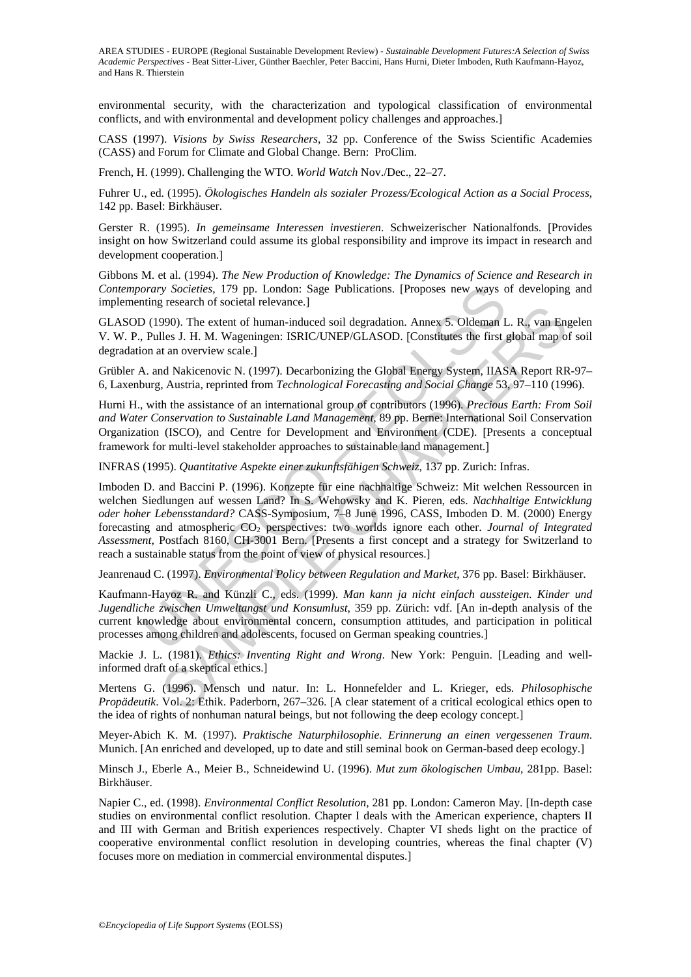environmental security, with the characterization and typological classification of environmental conflicts, and with environmental and development policy challenges and approaches.]

CASS (1997). *Visions by Swiss Researchers*, 32 pp. Conference of the Swiss Scientific Academies (CASS) and Forum for Climate and Global Change. Bern: ProClim.

French, H. (1999). Challenging the WTO. *World Watch* Nov./Dec., 22–27.

Fuhrer U., ed. (1995). *Ökologisches Handeln als sozialer Prozess/Ecological Action as a Social Process*, 142 pp. Basel: Birkhäuser.

Gerster R. (1995). *In gemeinsame Interessen investieren*. Schweizerischer Nationalfonds. [Provides insight on how Switzerland could assume its global responsibility and improve its impact in research and development cooperation.]

Gibbons M. et al. (1994). *The New Production of Knowledge: The Dynamics of Science and Research in Contemporary Societies*, 179 pp. London: Sage Publications. [Proposes new ways of developing and implementing research of societal relevance.]

GLASOD (1990). The extent of human-induced soil degradation. Annex 5. Oldeman L. R., van Engelen V. W. P., Pulles J. H. M. Wageningen: ISRIC/UNEP/GLASOD. [Constitutes the first global map of soil degradation at an overview scale.]

Grübler A. and Nakicenovic N. (1997). Decarbonizing the Global Energy System, IIASA Report RR-97– 6, Laxenburg, Austria, reprinted from *Technological Forecasting and Social Change* 53, 97–110 (1996).

Hurni H., with the assistance of an international group of contributors (1996). *Precious Earth: From Soil and Water Conservation to Sustainable Land Management*, 89 pp. Berne: International Soil Conservation Organization (ISCO), and Centre for Development and Environment (CDE). [Presents a conceptual framework for multi-level stakeholder approaches to sustainable land management.]

INFRAS (1995). *Quantitative Aspekte einer zukunftsfähigen Schweiz*, 137 pp. Zurich: Infras.

orary Societies, 179 pp. London: Sage Publications. [Proposes new ways c<br>ting research of societal relevance.]<br>
1 (1990). The extent of human-induced soil degradation. Annex 5. Oldeman I<br>
1 Pulles J. H. M. Wageningen: ISRI Exercit of societar curventic. The extended soil degradation. Annex 5. Oldeman L. R., van Engles J. H. M. Wageningen: ISRIC/UNEP/GLASOD. [Constitutes the first global map of the sastin of stunctions (1996). Decarbonizing t Imboden D. and Baccini P. (1996). Konzepte für eine nachhaltige Schweiz: Mit welchen Ressourcen in welchen Siedlungen auf wessen Land? In S. Wehowsky and K. Pieren, eds. *Nachhaltige Entwicklung oder hoher Lebensstandard?* CASS-Symposium, 7–8 June 1996, CASS, Imboden D. M. (2000) Energy forecasting and atmospheric CO2 perspectives: two worlds ignore each other. *Journal of Integrated Assessment*, Postfach 8160, CH-3001 Bern. [Presents a first concept and a strategy for Switzerland to reach a sustainable status from the point of view of physical resources.]

Jeanrenaud C. (1997). *Environmental Policy between Regulation and Market*, 376 pp. Basel: Birkhäuser.

Kaufmann-Hayoz R. and Künzli C., eds. (1999). *Man kann ja nicht einfach aussteigen. Kinder und Jugendliche zwischen Umweltangst und Konsumlust*, 359 pp. Zürich: vdf. [An in-depth analysis of the current knowledge about environmental concern, consumption attitudes, and participation in political processes among children and adolescents, focused on German speaking countries.]

Mackie J. L. (1981). *Ethics: Inventing Right and Wrong*. New York: Penguin. [Leading and wellinformed draft of a skeptical ethics.]

Mertens G. (1996). Mensch und natur. In: L. Honnefelder and L. Krieger, eds. *Philosophische Propädeutik*. Vol. 2: Ethik. Paderborn, 267–326. [A clear statement of a critical ecological ethics open to the idea of rights of nonhuman natural beings, but not following the deep ecology concept.]

Meyer-Abich K. M. (1997). *Praktische Naturphilosophie. Erinnerung an einen vergessenen Traum*. Munich. [An enriched and developed, up to date and still seminal book on German-based deep ecology.]

Minsch J., Eberle A., Meier B., Schneidewind U. (1996). *Mut zum ökologischen Umbau*, 281pp. Basel: Birkhäuser.

Napier C., ed. (1998). *Environmental Conflict Resolution*, 281 pp. London: Cameron May. [In-depth case studies on environmental conflict resolution. Chapter I deals with the American experience, chapters II and III with German and British experiences respectively. Chapter VI sheds light on the practice of cooperative environmental conflict resolution in developing countries, whereas the final chapter (V) focuses more on mediation in commercial environmental disputes.]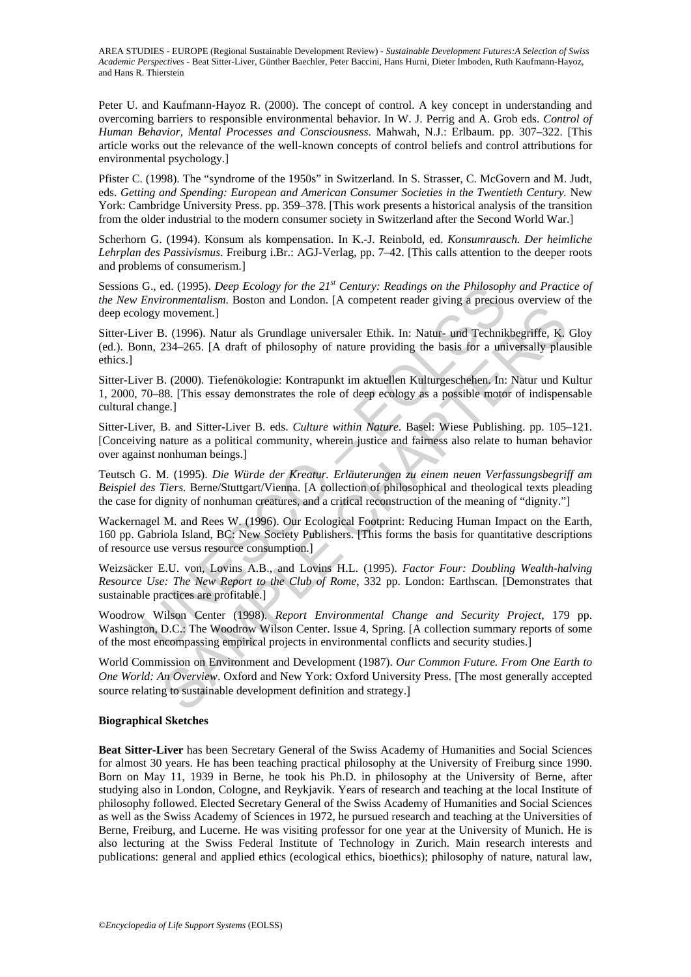Peter U. and Kaufmann-Hayoz R. (2000). The concept of control. A key concept in understanding and overcoming barriers to responsible environmental behavior. In W. J. Perrig and A. Grob eds. *Control of Human Behavior, Mental Processes and Consciousness*. Mahwah, N.J.: Erlbaum. pp. 307–322. [This article works out the relevance of the well-known concepts of control beliefs and control attributions for environmental psychology.]

Pfister C. (1998). The "syndrome of the 1950s" in Switzerland. In S. Strasser, C. McGovern and M. Judt, eds. *Getting and Spending: European and American Consumer Societies in the Twentieth Century.* New York: Cambridge University Press. pp. 359–378. [This work presents a historical analysis of the transition from the older industrial to the modern consumer society in Switzerland after the Second World War.]

Scherhorn G. (1994). Konsum als kompensation. In K.-J. Reinbold, ed. *Konsumrausch. Der heimliche Lehrplan des Passivismus*. Freiburg i.Br.: AGJ-Verlag, pp. 7–42. [This calls attention to the deeper roots and problems of consumerism.]

Sessions G., ed. (1995). *Deep Ecology for the 21st Century: Readings on the Philosophy and Practice of the New Environmentalism*. Boston and London. [A competent reader giving a precious overview of the deep ecology movement.]

Sitter-Liver B. (1996). Natur als Grundlage universaler Ethik. In: Natur- und Technikbegriffe, K. Gloy (ed.). Bonn, 234–265. [A draft of philosophy of nature providing the basis for a universally plausible ethics.]

Sitter-Liver B. (2000). Tiefenökologie: Kontrapunkt im aktuellen Kulturgeschehen. In: Natur und Kultur 1, 2000, 70–88. [This essay demonstrates the role of deep ecology as a possible motor of indispensable cultural change.]

Sitter-Liver, B. and Sitter-Liver B. eds. *Culture within Nature*. Basel: Wiese Publishing. pp. 105–121. [Conceiving nature as a political community, wherein justice and fairness also relate to human behavior over against nonhuman beings.]

Teutsch G. M. (1995). *Die Würde der Kreatur. Erläuterungen zu einem neuen Verfassungsbegriff am Beispiel des Tiers.* Berne/Stuttgart/Vienna. [A collection of philosophical and theological texts pleading the case for dignity of nonhuman creatures, and a critical reconstruction of the meaning of "dignity."]

G., ed. (1995). *Deep Ecology for the 21<sup>n</sup>* Century: Readings on the Philosoph<br>Environmentalism. Boston and London. [A competent reader giving a preciou<br>ogy movement.]<br>For B. (1996). Natur als Grundlage universaler Ethik. Wackernagel M. and Rees W. (1996). Our Ecological Footprint: Reducing Human Impact on the Earth, 160 pp. Gabriola Island, BC: New Society Publishers. [This forms the basis for quantitative descriptions of resource use versus resource consumption.]

Weizsäcker E.U. von, Lovins A.B., and Lovins H.L. (1995). *Factor Four: Doubling Wealth-halving Resource Use: The New Report to the Club of Rome*, 332 pp. London: Earthscan. [Demonstrates that sustainable practices are profitable.]

Woodrow Wilson Center (1998). *Report Environmental Change and Security Project*, 179 pp. Washington, D.C.: The Woodrow Wilson Center. Issue 4, Spring. [A collection summary reports of some of the most encompassing empirical projects in environmental conflicts and security studies.]

movement.]<br>
S. (1996). Natur als Grundlage universaler Ethik. In: Natur- und Technikbegriffe, K.<br>
234–265. [A draft of philosophy of nature providing the basis for a universally plau<br>
3. (2000). Tiefenökologie: Kontrapunk World Commission on Environment and Development (1987). *Our Common Future. From One Earth to One World: An Overview*. Oxford and New York: Oxford University Press. [The most generally accepted source relating to sustainable development definition and strategy.]

#### **Biographical Sketches**

**Beat Sitter-Liver** has been Secretary General of the Swiss Academy of Humanities and Social Sciences for almost 30 years. He has been teaching practical philosophy at the University of Freiburg since 1990. Born on May 11, 1939 in Berne, he took his Ph.D. in philosophy at the University of Berne, after studying also in London, Cologne, and Reykjavik. Years of research and teaching at the local Institute of philosophy followed. Elected Secretary General of the Swiss Academy of Humanities and Social Sciences as well as the Swiss Academy of Sciences in 1972, he pursued research and teaching at the Universities of Berne, Freiburg, and Lucerne. He was visiting professor for one year at the University of Munich. He is also lecturing at the Swiss Federal Institute of Technology in Zurich. Main research interests and publications: general and applied ethics (ecological ethics, bioethics); philosophy of nature, natural law,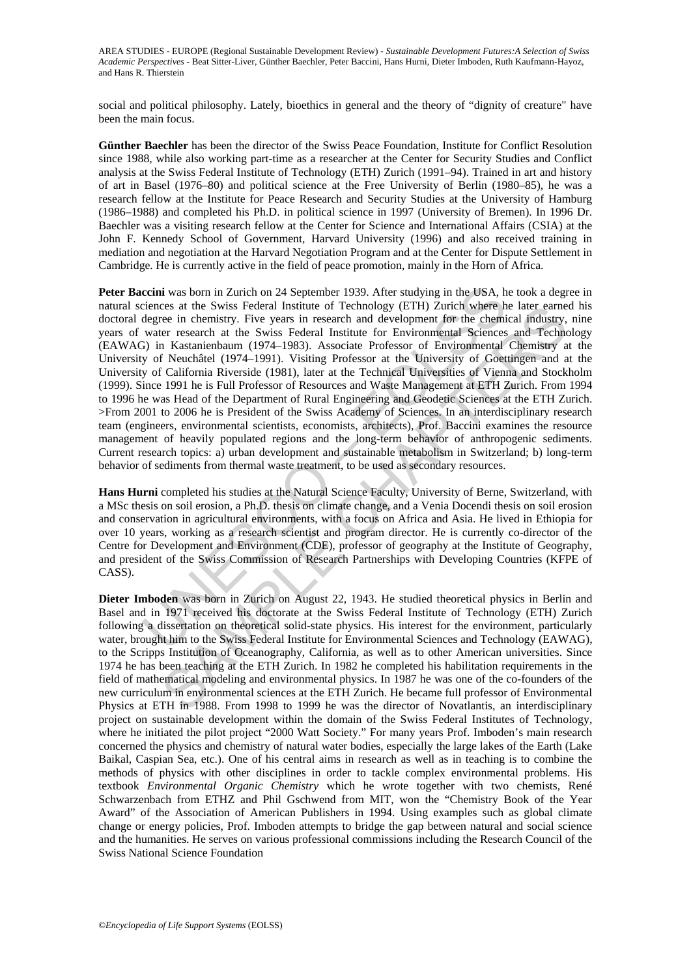social and political philosophy. Lately, bioethics in general and the theory of "dignity of creature" have been the main focus.

**Günther Baechler** has been the director of the Swiss Peace Foundation, Institute for Conflict Resolution since 1988, while also working part-time as a researcher at the Center for Security Studies and Conflict analysis at the Swiss Federal Institute of Technology (ETH) Zurich (1991–94). Trained in art and history of art in Basel (1976–80) and political science at the Free University of Berlin (1980–85), he was a research fellow at the Institute for Peace Research and Security Studies at the University of Hamburg (1986–1988) and completed his Ph.D. in political science in 1997 (University of Bremen). In 1996 Dr. Baechler was a visiting research fellow at the Center for Science and International Affairs (CSIA) at the John F. Kennedy School of Government, Harvard University (1996) and also received training in mediation and negotiation at the Harvard Negotiation Program and at the Center for Dispute Settlement in Cambridge. He is currently active in the field of peace promotion, mainly in the Horn of Africa.

ccini was born in Zurich on 24 September 1939. After studying in the USA, hereards at the Swiss Federal Institute of Technology (ETH) Zurich where he degree in chemistry. Five years in research and development for the chem ces at the Swass Federal Institute of Technology (ETH) Zunch where to later came<br>the methanology (ETH) Zunch where the atternation of the chemical industry,<br>ter exearch at the Swiss Federal Institute for Environmental Scie **Peter Baccini** was born in Zurich on 24 September 1939. After studying in the USA, he took a degree in natural sciences at the Swiss Federal Institute of Technology (ETH) Zurich where he later earned his doctoral degree in chemistry. Five years in research and development for the chemical industry, nine years of water research at the Swiss Federal Institute for Environmental Sciences and Technology (EAWAG) in Kastanienbaum (1974–1983). Associate Professor of Environmental Chemistry at the University of Neuchâtel (1974–1991). Visiting Professor at the University of Goettingen and at the University of California Riverside (1981), later at the Technical Universities of Vienna and Stockholm (1999). Since 1991 he is Full Professor of Resources and Waste Management at ETH Zurich. From 1994 to 1996 he was Head of the Department of Rural Engineering and Geodetic Sciences at the ETH Zurich. >From 2001 to 2006 he is President of the Swiss Academy of Sciences. In an interdisciplinary research team (engineers, environmental scientists, economists, architects), Prof. Baccini examines the resource management of heavily populated regions and the long-term behavior of anthropogenic sediments. Current research topics: a) urban development and sustainable metabolism in Switzerland; b) long-term behavior of sediments from thermal waste treatment, to be used as secondary resources.

**Hans Hurni** completed his studies at the Natural Science Faculty, University of Berne, Switzerland, with a MSc thesis on soil erosion, a Ph.D. thesis on climate change, and a Venia Docendi thesis on soil erosion and conservation in agricultural environments, with a focus on Africa and Asia. He lived in Ethiopia for over 10 years, working as a research scientist and program director. He is currently co-director of the Centre for Development and Environment (CDE), professor of geography at the Institute of Geography, and president of the Swiss Commission of Research Partnerships with Developing Countries (KFPE of CASS).

**Dieter Imboden** was born in Zurich on August 22, 1943. He studied theoretical physics in Berlin and Basel and in 1971 received his doctorate at the Swiss Federal Institute of Technology (ETH) Zurich following a dissertation on theoretical solid-state physics. His interest for the environment, particularly water, brought him to the Swiss Federal Institute for Environmental Sciences and Technology (EAWAG), to the Scripps Institution of Oceanography, California, as well as to other American universities. Since 1974 he has been teaching at the ETH Zurich. In 1982 he completed his habilitation requirements in the field of mathematical modeling and environmental physics. In 1987 he was one of the co-founders of the new curriculum in environmental sciences at the ETH Zurich. He became full professor of Environmental Physics at ETH in 1988. From 1998 to 1999 he was the director of Novatlantis, an interdisciplinary project on sustainable development within the domain of the Swiss Federal Institutes of Technology, where he initiated the pilot project "2000 Watt Society." For many years Prof. Imboden's main research concerned the physics and chemistry of natural water bodies, especially the large lakes of the Earth (Lake Baikal, Caspian Sea, etc.). One of his central aims in research as well as in teaching is to combine the methods of physics with other disciplines in order to tackle complex environmental problems. His textbook *Environmental Organic Chemistry* which he wrote together with two chemists, René Schwarzenbach from ETHZ and Phil Gschwend from MIT, won the "Chemistry Book of the Year Award" of the Association of American Publishers in 1994. Using examples such as global climate change or energy policies, Prof. Imboden attempts to bridge the gap between natural and social science and the humanities. He serves on various professional commissions including the Research Council of the Swiss National Science Foundation